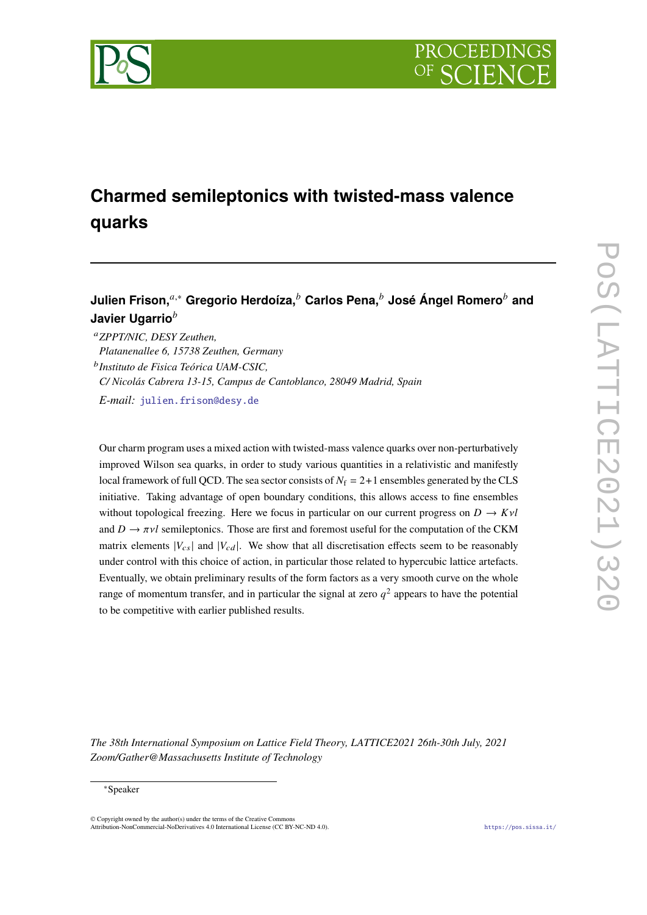

# **Charmed semileptonics with twisted-mass valence quarks**

**Julien Frison,**<sup>a,∗</sup> Gregorio Herdoíza,<sup>*b*</sup> Carlos Pena,<sup>*b*</sup> José Ángel Romero<sup>*b*</sup> and **Javier Ugarrio**

*ZPPT/NIC, DESY Zeuthen, Platanenallee 6, 15738 Zeuthen, Germany*

*Instituto de Fisica Teórica UAM-CSIC,*

*C/ Nicolás Cabrera 13-15, Campus de Cantoblanco, 28049 Madrid, Spain*

*E-mail:* [julien.frison@desy.de](mailto:julien.frison@desy.de)

Our charm program uses a mixed action with twisted-mass valence quarks over non-perturbatively improved Wilson sea quarks, in order to study various quantities in a relativistic and manifestly local framework of full QCD. The sea sector consists of  $N_f = 2+1$  ensembles generated by the CLS initiative. Taking advantage of open boundary conditions, this allows access to fine ensembles without topological freezing. Here we focus in particular on our current progress on  $D \to K\nu l$ and  $D \to \pi\nu l$  semileptonics. Those are first and foremost useful for the computation of the CKM matrix elements  $|V_{cs}|$  and  $|V_{cd}|$ . We show that all discretisation effects seem to be reasonably under control with this choice of action, in particular those related to hypercubic lattice artefacts. Eventually, we obtain preliminary results of the form factors as a very smooth curve on the whole range of momentum transfer, and in particular the signal at zero  $q^2$  appears to have the potential to be competitive with earlier published results.

*The 38th International Symposium on Lattice Field Theory, LATTICE2021 26th-30th July, 2021 Zoom/Gather@Massachusetts Institute of Technology*

#### <sup>∗</sup>Speaker

 $\odot$  Copyright owned by the author(s) under the terms of the Creative Common Attribution-NonCommercial-NoDerivatives 4.0 International License (CC BY-NC-ND 4.0). <https://pos.sissa.it/>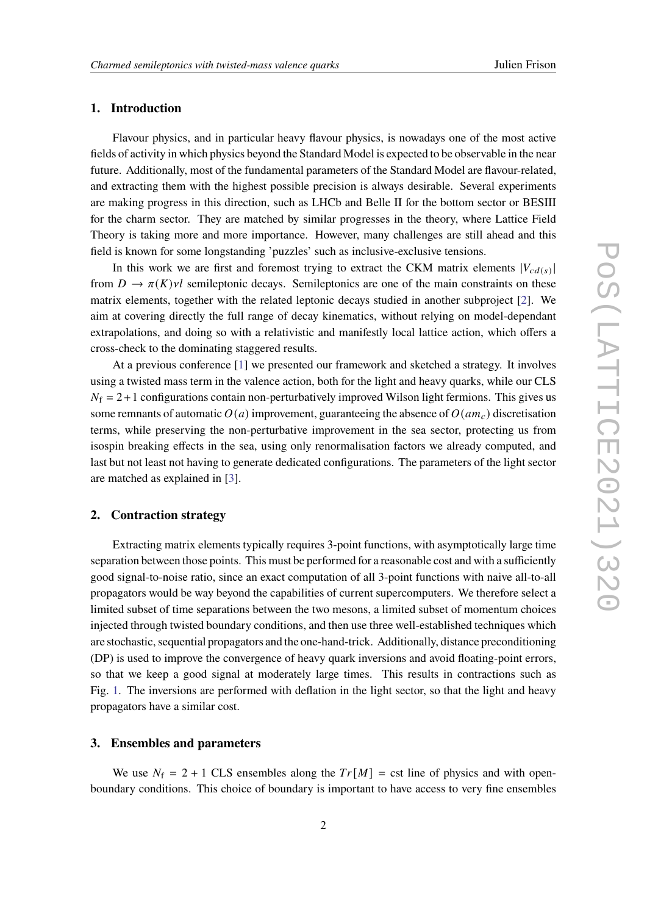# **1. Introduction**

Flavour physics, and in particular heavy flavour physics, is nowadays one of the most active fields of activity in which physics beyond the Standard Model is expected to be observable in the near future. Additionally, most of the fundamental parameters of the Standard Model are flavour-related, and extracting them with the highest possible precision is always desirable. Several experiments are making progress in this direction, such as LHCb and Belle II for the bottom sector or BESIII for the charm sector. They are matched by similar progresses in the theory, where Lattice Field Theory is taking more and more importance. However, many challenges are still ahead and this field is known for some longstanding 'puzzles' such as inclusive-exclusive tensions.

In this work we are first and foremost trying to extract the CKM matrix elements  $|V_{cd(s)}|$ | from  $D \to \pi(K)$  vl semileptonic decays. Semileptonics are one of the main constraints on these matrix elements, together with the related leptonic decays studied in another subproject [\[2\]](#page-8-0). We aim at covering directly the full range of decay kinematics, without relying on model-dependant extrapolations, and doing so with a relativistic and manifestly local lattice action, which offers a cross-check to the dominating staggered results.

At a previous conference [\[1\]](#page-8-1) we presented our framework and sketched a strategy. It involves using a twisted mass term in the valence action, both for the light and heavy quarks, while our CLS  $N_f = 2+1$  configurations contain non-perturbatively improved Wilson light fermions. This gives us some remnants of automatic  $O(a)$  improvement, guaranteeing the absence of  $O(am_c)$  discretisation terms, while preserving the non-perturbative improvement in the sea sector, protecting us from isospin breaking effects in the sea, using only renormalisation factors we already computed, and last but not least not having to generate dedicated configurations. The parameters of the light sector are matched as explained in [\[3\]](#page-8-2).

## **2. Contraction strategy**

Extracting matrix elements typically requires 3-point functions, with asymptotically large time separation between those points. This must be performed for a reasonable cost and with a sufficiently good signal-to-noise ratio, since an exact computation of all 3-point functions with naive all-to-all propagators would be way beyond the capabilities of current supercomputers. We therefore select a limited subset of time separations between the two mesons, a limited subset of momentum choices injected through twisted boundary conditions, and then use three well-established techniques which are stochastic, sequential propagators and the one-hand-trick. Additionally, distance preconditioning (DP) is used to improve the convergence of heavy quark inversions and avoid floating-point errors, so that we keep a good signal at moderately large times. This results in contractions such as Fig. [1.](#page-2-0) The inversions are performed with deflation in the light sector, so that the light and heavy propagators have a similar cost.

## **3. Ensembles and parameters**

We use  $N_f = 2 + 1$  CLS ensembles along the  $Tr[M] = \text{cst line of physics and with open-}$ boundary conditions. This choice of boundary is important to have access to very fine ensembles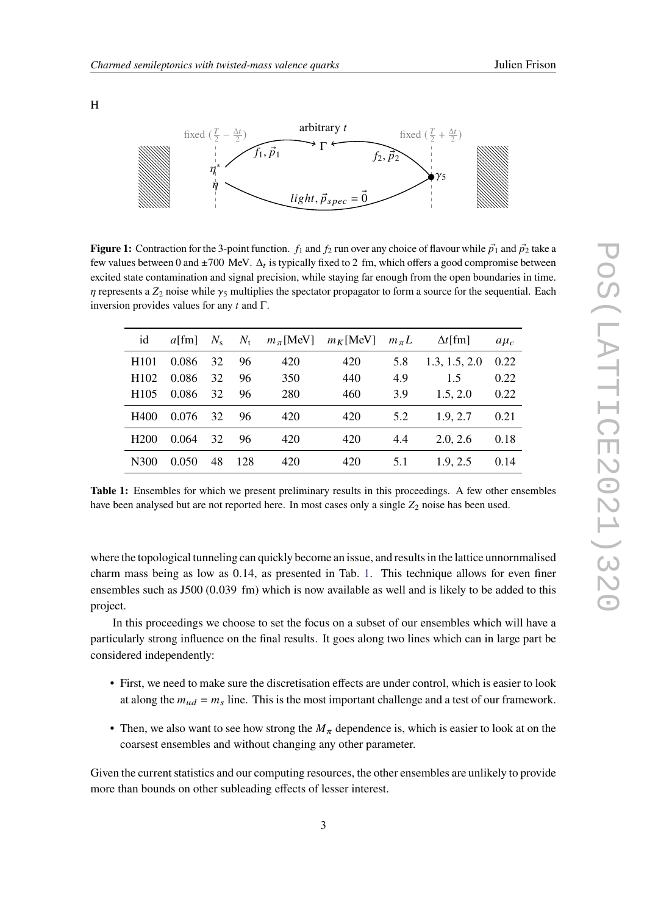<span id="page-2-0"></span>H



**Figure 1:** Contraction for the 3-point function.  $f_1$  and  $f_2$  run over any choice of flavour while  $\vec{p_1}$  and  $\vec{p_2}$  take a few values between 0 and  $\pm 700$  MeV.  $\Delta_t$  is typically fixed to 2 fm, which offers a good compromise between excited state contamination and signal precision, while staying far enough from the open boundaries in time.  $\eta$  represents a  $Z_2$  noise while  $\gamma_5$  multiplies the spectator propagator to form a source for the sequential. Each inversion provides values for any  $t$  and  $\Gamma$ .

<span id="page-2-1"></span>

| id               | $a$ [fm] | $N_{\rm s}$ | $N_{\rm t}$ | $m_\pi$ [MeV] | $m_K$ [MeV] | $m_{\pi}L$ | $\Delta t$ [fm] | $a\mu_c$ |
|------------------|----------|-------------|-------------|---------------|-------------|------------|-----------------|----------|
| H <sub>101</sub> | 0.086    | 32          | 96          | 420           | 420         | 5.8        | 1.3, 1.5, 2.0   | 0.22     |
| H <sub>102</sub> | 0.086    | 32          | 96          | 350           | 440         | 4.9        | 1.5             | 0.22     |
| H <sub>105</sub> | 0.086    | 32          | 96          | 280           | 460         | 3.9        | 1.5, 2.0        | 0.22     |
| H400             | 0.076    | 32          | 96          | 420           | 420         | 5.2        | 1.9.2.7         | 0.21     |
| H <sub>200</sub> | 0.064    | 32          | 96          | 420           | 420         | 4.4        | 2.0, 2.6        | 0.18     |
| N300             | 0.050    | 48          | 128         | 420           | 420         | 5.1        | 1.9, 2.5        | 0.14     |

**Table 1:** Ensembles for which we present preliminary results in this proceedings. A few other ensembles have been analysed but are not reported here. In most cases only a single  $Z_2$  noise has been used.

where the topological tunneling can quickly become an issue, and results in the lattice unnornmalised charm mass being as low as 0.14, as presented in Tab. [1.](#page-2-1) This technique allows for even finer ensembles such as J500 (0.039 fm) which is now available as well and is likely to be added to this project.

In this proceedings we choose to set the focus on a subset of our ensembles which will have a particularly strong influence on the final results. It goes along two lines which can in large part be considered independently:

- First, we need to make sure the discretisation effects are under control, which is easier to look at along the  $m_{ud} = m_s$  line. This is the most important challenge and a test of our framework.
- Then, we also want to see how strong the  $M_{\pi}$  dependence is, which is easier to look at on the coarsest ensembles and without changing any other parameter.

Given the current statistics and our computing resources, the other ensembles are unlikely to provide more than bounds on other subleading effects of lesser interest.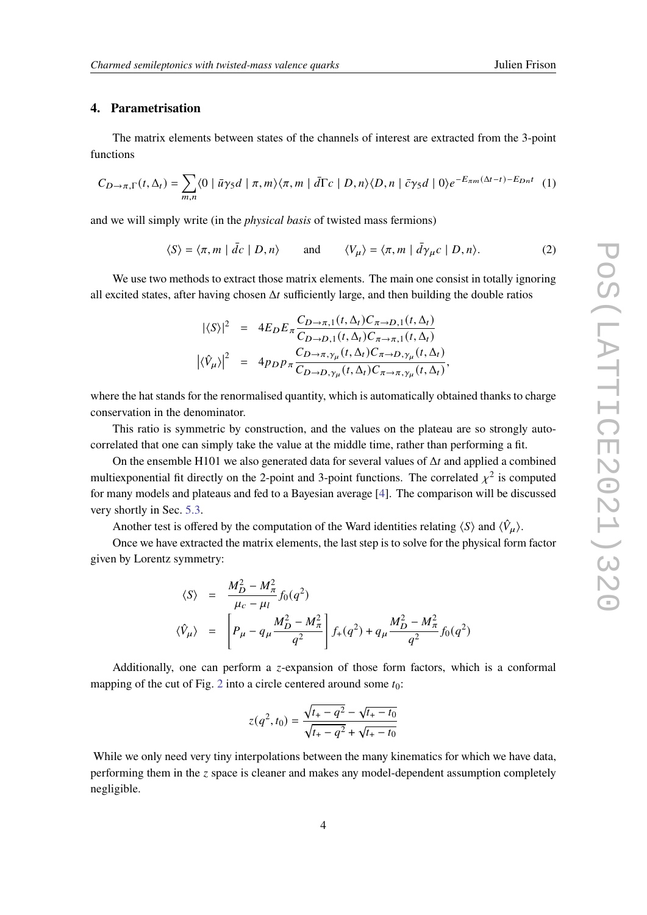# **4. Parametrisation**

The matrix elements between states of the channels of interest are extracted from the 3-point functions

$$
C_{D\to\pi,\Gamma}(t,\Delta_t) = \sum_{m,n} \langle 0 \mid \bar{u}\gamma_5 d \mid \pi, m \rangle \langle \pi, m \mid \bar{d}\Gamma c \mid D, n \rangle \langle D, n \mid \bar{c}\gamma_5 d \mid 0 \rangle e^{-E_{\pi m}(\Delta t - t) - E_{Dn}t} \tag{1}
$$

and we will simply write (in the *physical basis* of twisted mass fermions)

$$
\langle S \rangle = \langle \pi, m \mid \bar{dc} \mid D, n \rangle \quad \text{and} \quad \langle V_{\mu} \rangle = \langle \pi, m \mid \bar{d}\gamma_{\mu}c \mid D, n \rangle. \tag{2}
$$

We use two methods to extract those matrix elements. The main one consist in totally ignoring all excited states, after having chosen  $\Delta t$  sufficiently large, and then building the double ratios

$$
|\langle S \rangle|^2 = 4E_D E_{\pi} \frac{C_{D \to \pi,1}(t,\Delta_t) C_{\pi \to D,1}(t,\Delta_t)}{C_{D \to D,1}(t,\Delta_t) C_{\pi \to \pi,1}(t,\Delta_t)}
$$
  

$$
|\langle \hat{V}_{\mu} \rangle|^2 = 4p_D p_{\pi} \frac{C_{D \to \pi, \gamma_{\mu}}(t,\Delta_t) C_{\pi \to D, \gamma_{\mu}}(t,\Delta_t)}{C_{D \to D, \gamma_{\mu}}(t,\Delta_t) C_{\pi \to \pi, \gamma_{\mu}}(t,\Delta_t)},
$$

where the hat stands for the renormalised quantity, which is automatically obtained thanks to charge conservation in the denominator.

This ratio is symmetric by construction, and the values on the plateau are so strongly autocorrelated that one can simply take the value at the middle time, rather than performing a fit.

On the ensemble H101 we also generated data for several values of  $\Delta t$  and applied a combined multiexponential fit directly on the 2-point and 3-point functions. The correlated  $\chi^2$  is computed for many models and plateaus and fed to a Bayesian average [\[4\]](#page-8-3). The comparison will be discussed very shortly in Sec. [5.3.](#page-5-0)

Another test is offered by the computation of the Ward identities relating  $\langle S \rangle$  and  $\langle \hat{V}_{\mu} \rangle$ .

Once we have extracted the matrix elements, the last step is to solve for the physical form factor given by Lorentz symmetry:

$$
\langle S \rangle = \frac{M_D^2 - M_\pi^2}{\mu_c - \mu_l} f_0(q^2)
$$
  

$$
\langle \hat{V}_\mu \rangle = \left[ P_\mu - q_\mu \frac{M_D^2 - M_\pi^2}{q^2} \right] f_+(q^2) + q_\mu \frac{M_D^2 - M_\pi^2}{q^2} f_0(q^2)
$$

Additionally, one can perform a *z*-expansion of those form factors, which is a conformal mapping of the cut of Fig. [2](#page-4-0) into a circle centered around some  $t_0$ :

$$
z(q^2, t_0) = \frac{\sqrt{t_+ - q^2} - \sqrt{t_+ - t_0}}{\sqrt{t_+ - q^2} + \sqrt{t_+ - t_0}}
$$

While we only need very tiny interpolations between the many kinematics for which we have data. performing them in the  $\zeta$  space is cleaner and makes any model-dependent assumption completely negligible.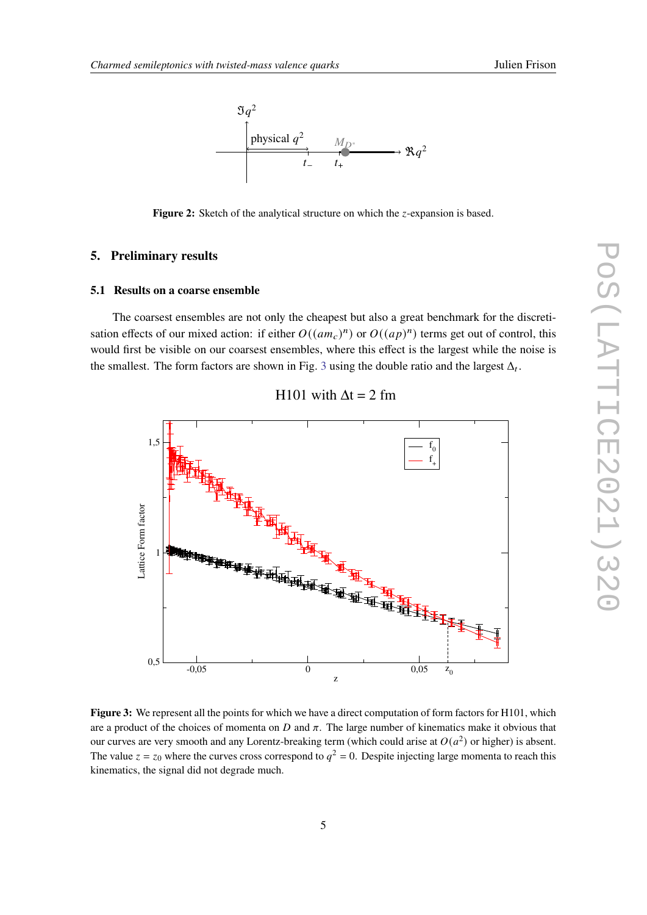<span id="page-4-0"></span>

**Figure 2:** Sketch of the analytical structure on which the *z*-expansion is based.

# **5. Preliminary results**

#### **5.1 Results on a coarse ensemble**

The coarsest ensembles are not only the cheapest but also a great benchmark for the discretisation effects of our mixed action: if either  $O((am_c)^n)$  or  $O((ap)^n)$  terms get out of control, this would first be visible on our coarsest ensembles, where this effect is the largest while the noise is the smallest. The form factors are shown in Fig. [3](#page-4-1) using the double ratio and the largest  $\Delta_t$ .

<span id="page-4-1"></span>

## H101 with  $\Delta t = 2$  fm

**Figure 3:** We represent all the points for which we have a direct computation of form factors for H101, which are a product of the choices of momenta on  $D$  and  $\pi$ . The large number of kinematics make it obvious that our curves are very smooth and any Lorentz-breaking term (which could arise at  $O(a^2)$  or higher) is absent. The value  $z = z_0$  where the curves cross correspond to  $q^2 = 0$ . Despite injecting large momenta to reach this kinematics, the signal did not degrade much.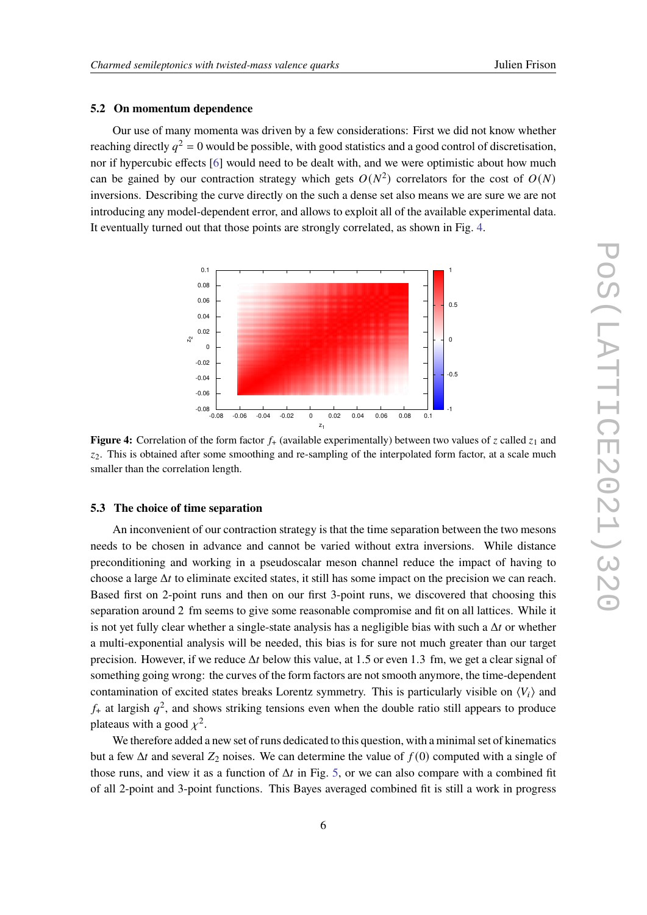#### **5.2 On momentum dependence**

Our use of many momenta was driven by a few considerations: First we did not know whether reaching directly  $q^2 = 0$  would be possible, with good statistics and a good control of discretisation, nor if hypercubic effects [\[6\]](#page-8-4) would need to be dealt with, and we were optimistic about how much can be gained by our contraction strategy which gets  $O(N^2)$  correlators for the cost of  $O(N)$ inversions. Describing the curve directly on the such a dense set also means we are sure we are not introducing any model-dependent error, and allows to exploit all of the available experimental data. It eventually turned out that those points are strongly correlated, as shown in Fig. [4.](#page-5-1)

<span id="page-5-1"></span>

**Figure 4:** Correlation of the form factor  $f_{+}$  (available experimentally) between two values of z called  $z_1$  and  $z<sub>2</sub>$ . This is obtained after some smoothing and re-sampling of the interpolated form factor, at a scale much smaller than the correlation length.

## <span id="page-5-0"></span>**5.3 The choice of time separation**

An inconvenient of our contraction strategy is that the time separation between the two mesons needs to be chosen in advance and cannot be varied without extra inversions. While distance preconditioning and working in a pseudoscalar meson channel reduce the impact of having to choose a large  $\Delta t$  to eliminate excited states, it still has some impact on the precision we can reach. Based first on 2-point runs and then on our first 3-point runs, we discovered that choosing this separation around 2 fm seems to give some reasonable compromise and fit on all lattices. While it is not yet fully clear whether a single-state analysis has a negligible bias with such a  $\Delta t$  or whether a multi-exponential analysis will be needed, this bias is for sure not much greater than our target precision. However, if we reduce  $\Delta t$  below this value, at 1.5 or even 1.3 fm, we get a clear signal of something going wrong: the curves of the form factors are not smooth anymore, the time-dependent contamination of excited states breaks Lorentz symmetry. This is particularly visible on  $\langle V_i \rangle$  and  $f_{+}$  at largish  $q^2$ , and shows striking tensions even when the double ratio still appears to produce plateaus with a good  $\chi^2$ .

We therefore added a new set of runs dedicated to this question, with a minimal set of kinematics but a few  $\Delta t$  and several  $Z_2$  noises. We can determine the value of  $f(0)$  computed with a single of those runs, and view it as a function of  $\Delta t$  in Fig. [5,](#page-6-0) or we can also compare with a combined fit of all 2-point and 3-point functions. This Bayes averaged combined fit is still a work in progress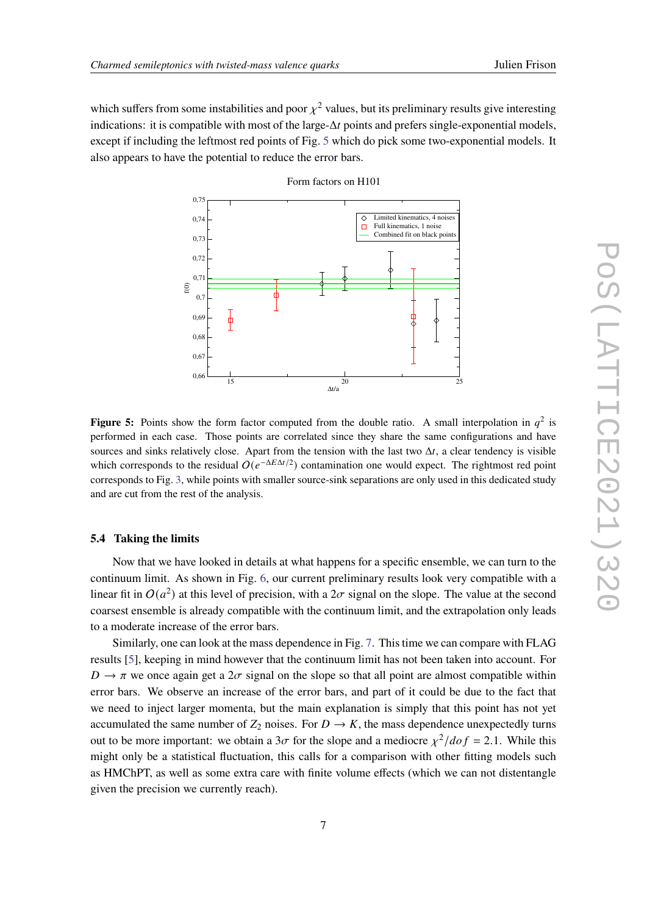<span id="page-6-0"></span>which suffers from some instabilities and poor  $\chi^2$  values, but its preliminary results give interesting indications: it is compatible with most of the large- $\Delta t$  points and prefers single-exponential models, except if including the leftmost red points of Fig. [5](#page-6-0) which do pick some two-exponential models. It also appears to have the potential to reduce the error bars.



Form factors on H101

**Figure 5:** Points show the form factor computed from the double ratio. A small interpolation in  $q^2$  is performed in each case. Those points are correlated since they share the same configurations and have sources and sinks relatively close. Apart from the tension with the last two  $\Delta t$ , a clear tendency is visible which corresponds to the residual  $O(e^{-\Delta E \Delta t/2})$  contamination one would expect. The rightmost red point corresponds to Fig. [3,](#page-4-1) while points with smaller source-sink separations are only used in this dedicated study and are cut from the rest of the analysis.

#### **5.4 Taking the limits**

Now that we have looked in details at what happens for a specific ensemble, we can turn to the continuum limit. As shown in Fig. [6,](#page-7-0) our current preliminary results look very compatible with a linear fit in  $O(a^2)$  at this level of precision, with a  $2\sigma$  signal on the slope. The value at the second coarsest ensemble is already compatible with the continuum limit, and the extrapolation only leads to a moderate increase of the error bars.

Similarly, one can look at the mass dependence in Fig. [7.](#page-8-5) This time we can compare with FLAG results [\[5\]](#page-8-6), keeping in mind however that the continuum limit has not been taken into account. For  $D \to \pi$  we once again get a  $2\sigma$  signal on the slope so that all point are almost compatible within error bars. We observe an increase of the error bars, and part of it could be due to the fact that we need to inject larger momenta, but the main explanation is simply that this point has not yet accumulated the same number of  $Z_2$  noises. For  $D \to K$ , the mass dependence unexpectedly turns out to be more important: we obtain a  $3\sigma$  for the slope and a mediocre  $\chi^2/dof = 2.1$ . While this might only be a statistical fluctuation, this calls for a comparison with other fitting models such as HMChPT, as well as some extra care with finite volume effects (which we can not distentangle given the precision we currently reach).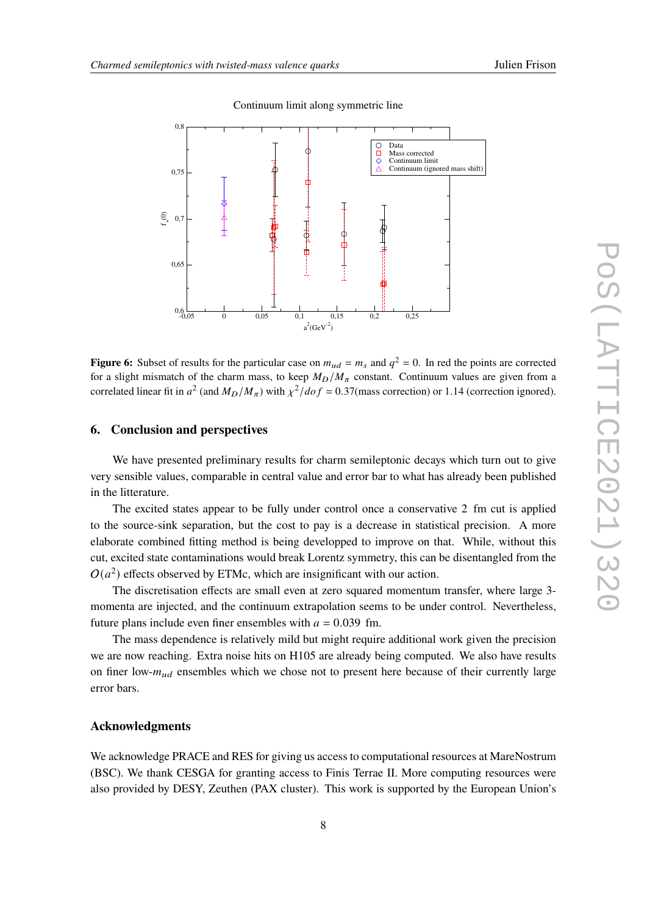<span id="page-7-0"></span>

Continuum limit along symmetric line

**Figure 6:** Subset of results for the particular case on  $m_{ud} = m_s$  and  $q^2 = 0$ . In red the points are corrected for a slight mismatch of the charm mass, to keep  $M_D/M_\pi$  constant. Continuum values are given from a correlated linear fit in  $a^2$  (and  $M_D/M_\pi$ ) with  $\chi^2/dof = 0.37$ (mass correction) or 1.14 (correction ignored).

## **6. Conclusion and perspectives**

We have presented preliminary results for charm semileptonic decays which turn out to give very sensible values, comparable in central value and error bar to what has already been published in the litterature.

The excited states appear to be fully under control once a conservative 2 fm cut is applied to the source-sink separation, but the cost to pay is a decrease in statistical precision. A more elaborate combined fitting method is being developped to improve on that. While, without this cut, excited state contaminations would break Lorentz symmetry, this can be disentangled from the  $O(a^2)$  effects observed by ETMc, which are insignificant with our action.

The discretisation effects are small even at zero squared momentum transfer, where large 3 momenta are injected, and the continuum extrapolation seems to be under control. Nevertheless, future plans include even finer ensembles with  $a = 0.039$  fm.

The mass dependence is relatively mild but might require additional work given the precision we are now reaching. Extra noise hits on H105 are already being computed. We also have results on finer low- $m_{ud}$  ensembles which we chose not to present here because of their currently large error bars.

## **Acknowledgments**

We acknowledge PRACE and RES for giving us access to computational resources at MareNostrum (BSC). We thank CESGA for granting access to Finis Terrae II. More computing resources were also provided by DESY, Zeuthen (PAX cluster). This work is supported by the European Union's